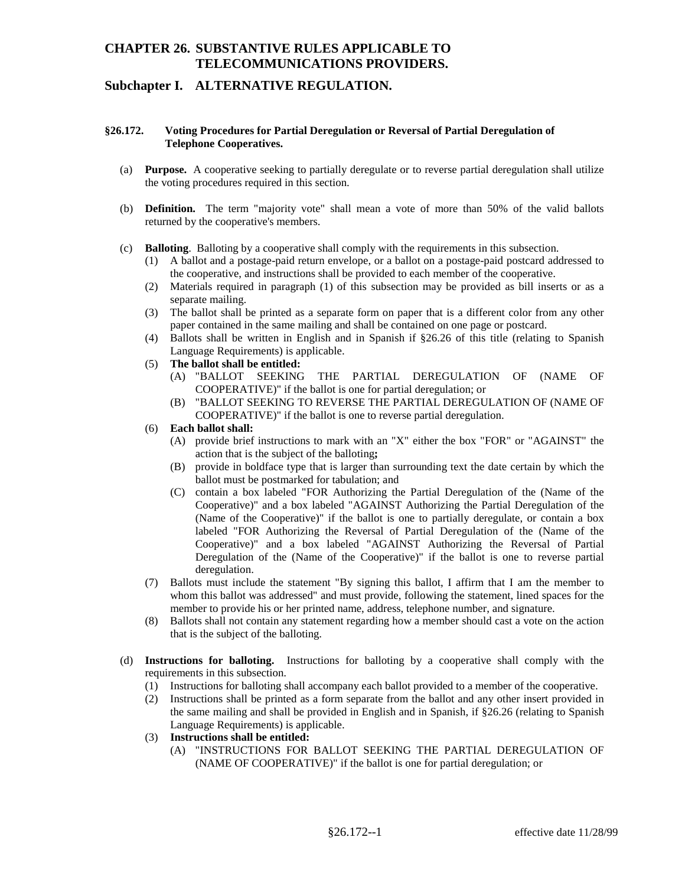# **CHAPTER 26. SUBSTANTIVE RULES APPLICABLE TO TELECOMMUNICATIONS PROVIDERS.**

### **Subchapter I. ALTERNATIVE REGULATION.**

### **§26.172. Voting Procedures for Partial Deregulation or Reversal of Partial Deregulation of Telephone Cooperatives.**

- (a) **Purpose.** A cooperative seeking to partially deregulate or to reverse partial deregulation shall utilize the voting procedures required in this section.
- (b) **Definition.** The term "majority vote" shall mean a vote of more than 50% of the valid ballots returned by the cooperative's members.
- (c) **Balloting**. Balloting by a cooperative shall comply with the requirements in this subsection.
	- (1) A ballot and a postage-paid return envelope, or a ballot on a postage-paid postcard addressed to the cooperative, and instructions shall be provided to each member of the cooperative.
	- (2) Materials required in paragraph (1) of this subsection may be provided as bill inserts or as a separate mailing.
	- (3) The ballot shall be printed as a separate form on paper that is a different color from any other paper contained in the same mailing and shall be contained on one page or postcard.
	- (4) Ballots shall be written in English and in Spanish if §26.26 of this title (relating to Spanish Language Requirements) is applicable.
	- (5) **The ballot shall be entitled:** 
		- (A) "BALLOT SEEKING THE PARTIAL DEREGULATION OF (NAME OF COOPERATIVE)" if the ballot is one for partial deregulation; or
		- (B) "BALLOT SEEKING TO REVERSE THE PARTIAL DEREGULATION OF (NAME OF COOPERATIVE)" if the ballot is one to reverse partial deregulation.
	- (6) **Each ballot shall:** 
		- (A) provide brief instructions to mark with an "X" either the box "FOR" or "AGAINST" the action that is the subject of the balloting**;**
		- (B) provide in boldface type that is larger than surrounding text the date certain by which the ballot must be postmarked for tabulation; and
		- (C) contain a box labeled "FOR Authorizing the Partial Deregulation of the (Name of the Cooperative)" and a box labeled "AGAINST Authorizing the Reversal of Partial Deregulation of the (Name of the Cooperative)" if the ballot is one to reverse partial Cooperative)" and a box labeled "AGAINST Authorizing the Partial Deregulation of the (Name of the Cooperative)" if the ballot is one to partially deregulate, or contain a box labeled "FOR Authorizing the Reversal of Partial Deregulation of the (Name of the deregulation.
	- (7) Ballots must include the statement "By signing this ballot, I affirm that I am the member to whom this ballot was addressed" and must provide, following the statement, lined spaces for the member to provide his or her printed name, address, telephone number, and signature.
	- (8) Ballots shall not contain any statement regarding how a member should cast a vote on the action that is the subject of the balloting.
- (d) **Instructions for balloting.** Instructions for balloting by a cooperative shall comply with the requirements in this subsection.
	- (1) Instructions for balloting shall accompany each ballot provided to a member of the cooperative.
	- the same mailing and shall be provided in English and in Spanish, if §26.26 (relating to Spanish (2) Instructions shall be printed as a form separate from the ballot and any other insert provided in Language Requirements) is applicable.
	- (3) **Instructions shall be entitled:** 
		- (A) "INSTRUCTIONS FOR BALLOT SEEKING THE PARTIAL DEREGULATION OF (NAME OF COOPERATIVE)" if the ballot is one for partial deregulation; or